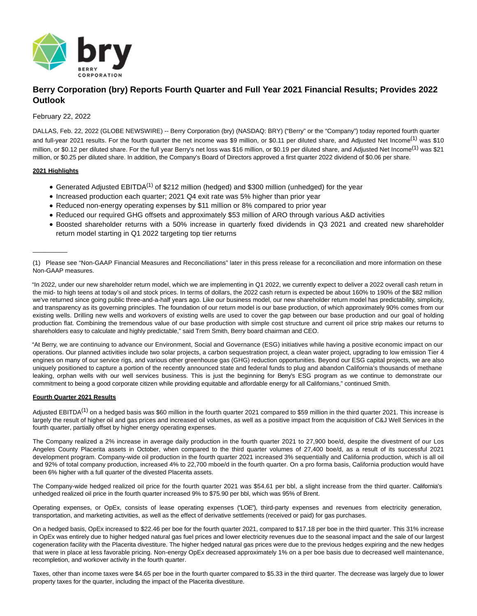

# **Berry Corporation (bry) Reports Fourth Quarter and Full Year 2021 Financial Results; Provides 2022 Outlook**

# February 22, 2022

DALLAS, Feb. 22, 2022 (GLOBE NEWSWIRE) -- Berry Corporation (bry) (NASDAQ: BRY) ("Berry" or the "Company") today reported fourth quarter and full-year 2021 results. For the fourth quarter the net income was \$9 million, or \$0.11 per diluted share, and Adjusted Net Income<sup>(1)</sup> was \$10 million, or \$0.12 per diluted share. For the full year Berry's net loss was \$16 million, or \$0.19 per diluted share, and Adjusted Net Income<sup>(1)</sup> was \$21 million, or \$0.25 per diluted share. In addition, the Company's Board of Directors approved a first quarter 2022 dividend of \$0.06 per share.

# **2021 Highlights**

 $\overline{\phantom{a}}$ 

- Generated Adjusted EBITDA<sup>(1)</sup> of \$212 million (hedged) and \$300 million (unhedged) for the year
- Increased production each quarter; 2021 Q4 exit rate was 5% higher than prior year
- Reduced non-energy operating expenses by \$11 million or 8% compared to prior year
- Reduced our required GHG offsets and approximately \$53 million of ARO through various A&D activities
- Boosted shareholder returns with a 50% increase in quarterly fixed dividends in Q3 2021 and created new shareholder return model starting in Q1 2022 targeting top tier returns

"In 2022, under our new shareholder return model, which we are implementing in Q1 2022, we currently expect to deliver a 2022 overall cash return in the mid- to high teens at today's oil and stock prices. In terms of dollars, the 2022 cash return is expected be about 160% to 190% of the \$82 million we've returned since going public three-and-a-half years ago. Like our business model, our new shareholder return model has predictability, simplicity, and transparency as its governing principles. The foundation of our return model is our base production, of which approximately 90% comes from our existing wells. Drilling new wells and workovers of existing wells are used to cover the gap between our base production and our goal of holding production flat. Combining the tremendous value of our base production with simple cost structure and current oil price strip makes our returns to shareholders easy to calculate and highly predictable," said Trem Smith, Berry board chairman and CEO.

"At Berry, we are continuing to advance our Environment, Social and Governance (ESG) initiatives while having a positive economic impact on our operations. Our planned activities include two solar projects, a carbon sequestration project, a clean water project, upgrading to low emission Tier 4 engines on many of our service rigs, and various other greenhouse gas (GHG) reduction opportunities. Beyond our ESG capital projects, we are also uniquely positioned to capture a portion of the recently announced state and federal funds to plug and abandon California's thousands of methane leaking, orphan wells with our well services business. This is just the beginning for Berry's ESG program as we continue to demonstrate our commitment to being a good corporate citizen while providing equitable and affordable energy for all Californians," continued Smith.

# **Fourth Quarter 2021 Results**

Adjusted EBITDA<sup>(1)</sup> on a hedged basis was \$60 million in the fourth quarter 2021 compared to \$59 million in the third quarter 2021. This increase is largely the result of higher oil and gas prices and increased oil volumes, as well as a positive impact from the acquisition of C&J Well Services in the fourth quarter, partially offset by higher energy operating expenses.

The Company realized a 2% increase in average daily production in the fourth quarter 2021 to 27,900 boe/d, despite the divestment of our Los Angeles County Placerita assets in October, when compared to the third quarter volumes of 27,400 boe/d, as a result of its successful 2021 development program. Company-wide oil production in the fourth quarter 2021 increased 3% sequentially and California production, which is all oil and 92% of total company production, increased 4% to 22,700 mboe/d in the fourth quarter. On a pro forma basis, California production would have been 6% higher with a full quarter of the divested Placerita assets.

The Company-wide hedged realized oil price for the fourth quarter 2021 was \$54.61 per bbl, a slight increase from the third quarter. California's unhedged realized oil price in the fourth quarter increased 9% to \$75.90 per bbl, which was 95% of Brent.

Operating expenses, or OpEx, consists of lease operating expenses ("LOE"), third-party expenses and revenues from electricity generation, transportation, and marketing activities, as well as the effect of derivative settlements (received or paid) for gas purchases.

On a hedged basis, OpEx increased to \$22.46 per boe for the fourth quarter 2021, compared to \$17.18 per boe in the third quarter. This 31% increase in OpEx was entirely due to higher hedged natural gas fuel prices and lower electricity revenues due to the seasonal impact and the sale of our largest cogeneration facility with the Placerita divestiture. The higher hedged natural gas prices were due to the previous hedges expiring and the new hedges that were in place at less favorable pricing. Non-energy OpEx decreased approximately 1% on a per boe basis due to decreased well maintenance, recompletion, and workover activity in the fourth quarter.

Taxes, other than income taxes were \$4.65 per boe in the fourth quarter compared to \$5.33 in the third quarter. The decrease was largely due to lower property taxes for the quarter, including the impact of the Placerita divestiture.

<sup>(1)</sup> Please see "Non-GAAP Financial Measures and Reconciliations" later in this press release for a reconciliation and more information on these Non-GAAP measures.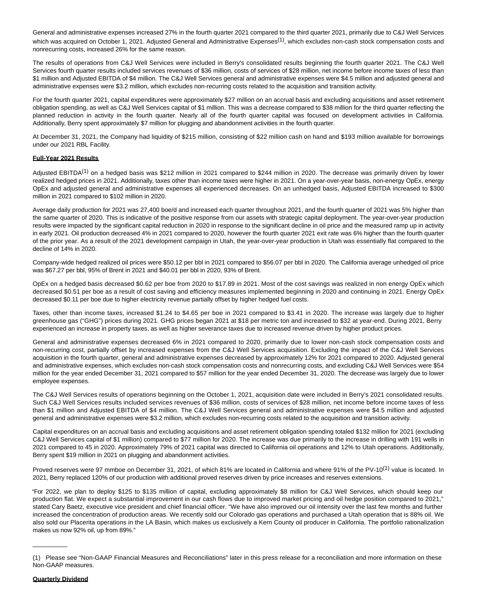General and administrative expenses increased 27% in the fourth quarter 2021 compared to the third quarter 2021, primarily due to C&J Well Services which was acquired on October 1, 2021. Adjusted General and Administrative Expenses<sup>(1)</sup>, which excludes non-cash stock compensation costs and nonrecurring costs, increased 26% for the same reason.

The results of operations from C&J Well Services were included in Berry's consolidated results beginning the fourth quarter 2021. The C&J Well Services fourth quarter results included services revenues of \$36 million, costs of services of \$28 million, net income before income taxes of less than \$1 million and Adjusted EBITDA of \$4 million. The C&J Well Services general and administrative expenses were \$4.5 million and adjusted general and administrative expenses were \$3.2 million, which excludes non-recurring costs related to the acquisition and transition activity.

For the fourth quarter 2021, capital expenditures were approximately \$27 million on an accrual basis and excluding acquisitions and asset retirement obligation spending, as well as C&J Well Services capital of \$1 million. This was a decrease compared to \$38 million for the third quarter reflecting the planned reduction in activity in the fourth quarter. Nearly all of the fourth quarter capital was focused on development activities in California. Additionally, Berry spent approximately \$7 million for plugging and abandonment activities in the fourth quarter.

At December 31, 2021, the Company had liquidity of \$215 million, consisting of \$22 million cash on hand and \$193 million available for borrowings under our 2021 RBL Facility.

### **Full-Year 2021 Results**

Adjusted EBITDA<sup>(1)</sup> on a hedged basis was \$212 million in 2021 compared to \$244 million in 2020. The decrease was primarily driven by lower realized hedged prices in 2021. Additionally, taxes other than income taxes were higher in 2021. On a year-over-year basis, non-energy OpEx, energy OpEx and adjusted general and administrative expenses all experienced decreases. On an unhedged basis, Adjusted EBITDA increased to \$300 million in 2021 compared to \$102 million in 2020.

Average daily production for 2021 was 27,400 boe/d and increased each quarter throughout 2021, and the fourth quarter of 2021 was 5% higher than the same quarter of 2020. This is indicative of the positive response from our assets with strategic capital deployment. The year-over-year production results were impacted by the significant capital reduction in 2020 in response to the significant decline in oil price and the measured ramp up in activity in early 2021. Oil production decreased 4% in 2021 compared to 2020, however the fourth quarter 2021 exit rate was 6% higher than the fourth quarter of the prior year. As a result of the 2021 development campaign in Utah, the year-over-year production in Utah was essentially flat compared to the decline of 14% in 2020.

Company-wide hedged realized oil prices were \$50.12 per bbl in 2021 compared to \$56.07 per bbl in 2020. The California average unhedged oil price was \$67.27 per bbl, 95% of Brent in 2021 and \$40.01 per bbl in 2020, 93% of Brent.

OpEx on a hedged basis decreased \$0.62 per boe from 2020 to \$17.89 in 2021. Most of the cost savings was realized in non energy OpEx which decreased \$0.51 per boe as a result of cost saving and efficiency measures implemented beginning in 2020 and continuing in 2021. Energy OpEx decreased \$0.11 per boe due to higher electricity revenue partially offset by higher hedged fuel costs.

Taxes, other than income taxes, increased \$1.24 to \$4.65 per boe in 2021 compared to \$3.41 in 2020. The increase was largely due to higher greenhouse gas ("GHG") prices during 2021. GHG prices began 2021 at \$18 per metric ton and increased to \$32 at year-end. During 2021, Berry experienced an increase in property taxes, as well as higher severance taxes due to increased revenue driven by higher product prices.

General and administrative expenses decreased 6% in 2021 compared to 2020, primarily due to lower non-cash stock compensation costs and non-recurring cost, partially offset by increased expenses from the C&J Well Services acquisition. Excluding the impact of the C&J Well Services acquisition in the fourth quarter, general and administrative expenses decreased by approximately 12% for 2021 compared to 2020. Adjusted general and administrative expenses, which excludes non-cash stock compensation costs and nonrecurring costs, and excluding C&J Well Services were \$54 million for the year ended December 31, 2021 compared to \$57 million for the year ended December 31, 2020. The decrease was largely due to lower employee expenses.

The C&J Well Services results of operations beginning on the October 1, 2021, acquisition date were included in Berry's 2021 consolidated results. Such C&J Well Services results included services revenues of \$36 million, costs of services of \$28 million, net income before income taxes of less than \$1 million and Adjusted EBITDA of \$4 million. The C&J Well Services general and administrative expenses were \$4.5 million and adjusted general and administrative expenses were \$3.2 million, which excludes non-recurring costs related to the acquisition and transition activity.

Capital expenditures on an accrual basis and excluding acquisitions and asset retirement obligation spending totaled \$132 million for 2021 (excluding C&J Well Services capital of \$1 million) compared to \$77 million for 2020. The increase was due primarily to the increase in drilling with 191 wells in 2021 compared to 45 in 2020. Approximately 79% of 2021 capital was directed to California oil operations and 12% to Utah operations. Additionally, Berry spent \$19 million in 2021 on plugging and abandonment activities.

Proved reserves were 97 mmboe on December 31, 2021, of which 81% are located in California and where 91% of the PV-10<sup>(1)</sup> value is located. In 2021, Berry replaced 120% of our production with additional proved reserves driven by price increases and reserves extensions.

"For 2022, we plan to deploy \$125 to \$135 million of capital, excluding approximately \$8 million for C&J Well Services, which should keep our production flat. We expect a substantial improvement in our cash flows due to improved market pricing and oil hedge position compared to 2021," stated Cary Baetz, executive vice president and chief financial officer. "We have also improved our oil intensity over the last few months and further increased the concentration of production areas. We recently sold our Colorado gas operations and purchased a Utah operation that is 88% oil. We also sold our Placerita operations in the LA Basin, which makes us exclusively a Kern County oil producer in California. The portfolio rationalization makes us now 92% oil, up from 89%."

\_\_\_\_\_\_\_\_\_\_

<sup>(1)</sup> Please see "Non-GAAP Financial Measures and Reconciliations" later in this press release for a reconciliation and more information on these Non-GAAP measures.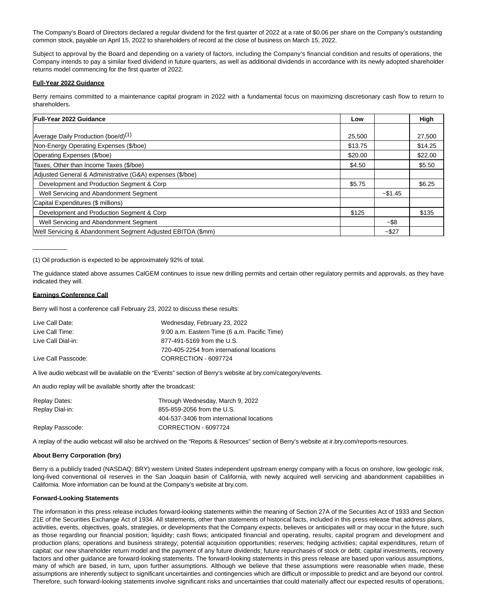The Company's Board of Directors declared a regular dividend for the first quarter of 2022 at a rate of \$0.06 per share on the Company's outstanding common stock, payable on April 15, 2022 to shareholders of record at the close of business on March 15, 2022.

Subject to approval by the Board and depending on a variety of factors, including the Company's financial condition and results of operations, the Company intends to pay a similar fixed dividend in future quarters, as well as additional dividends in accordance with its newly adopted shareholder returns model commencing for the first quarter of 2022.

#### **Full-Year 2022 Guidance**

Berry remains committed to a maintenance capital program in 2022 with a fundamental focus on maximizing discretionary cash flow to return to shareholders.

| <b>Full-Year 2022 Guidance</b>                              | Low     |            | High    |
|-------------------------------------------------------------|---------|------------|---------|
|                                                             |         |            |         |
| Average Daily Production (boe/d) <sup>(1)</sup>             | 25.500  |            | 27,500  |
| Non-Energy Operating Expenses (\$/boe)                      | \$13.75 |            | \$14.25 |
| Operating Expenses (\$/boe)                                 | \$20.00 |            | \$22.00 |
| Taxes, Other than Income Taxes (\$/boe)                     | \$4.50  |            | \$5.50  |
| Adjusted General & Administrative (G&A) expenses (\$/boe)   |         |            |         |
| Development and Production Segment & Corp                   | \$5.75  |            | \$6.25  |
| Well Servicing and Abandonment Segment                      |         | $-$ \$1.45 |         |
| Capital Expenditures (\$ millions)                          |         |            |         |
| Development and Production Segment & Corp                   | \$125   |            | \$135   |
| Well Servicing and Abandonment Segment                      |         | $-$ \$8    |         |
| Well Servicing & Abandonment Segment Adjusted EBITDA (\$mm) |         | $-$ \$27   |         |

(1) Oil production is expected to be approximately 92% of total.

The guidance stated above assumes CalGEM continues to issue new drilling permits and certain other regulatory permits and approvals, as they have indicated they will.

#### **Earnings Conference Call**

 $\overline{\phantom{a}}$ 

Berry will host a conference call February 23, 2022 to discuss these results:

| Live Call Date:     | Wednesday, February 23, 2022                 |
|---------------------|----------------------------------------------|
| Live Call Time:     | 9:00 a.m. Eastern Time (6 a.m. Pacific Time) |
| Live Call Dial-in:  | 877-491-5169 from the U.S.                   |
|                     | 720-405-2254 from international locations    |
| Live Call Passcode: | CORRECTION - 6097724                         |

A live audio webcast will be available on the "Events" section of Berry's website at bry.com/category/events.

An audio replay will be available shortly after the broadcast:

| Replay Dates:    | Through Wednesday, March 9, 2022          |
|------------------|-------------------------------------------|
| Replay Dial-in:  | 855-859-2056 from the U.S.                |
|                  | 404-537-3406 from international locations |
| Replay Passcode: | CORRECTION - 6097724                      |

A replay of the audio webcast will also be archived on the "Reports & Resources" section of Berry's website at ir.bry.com/reports-resources.

### **About Berry Corporation (bry)**

Berry is a publicly traded (NASDAQ: BRY) western United States independent upstream energy company with a focus on onshore, low geologic risk, long-lived conventional oil reserves in the San Joaquin basin of California, with newly acquired well servicing and abandonment capabilities in California. More information can be found at the Company's website at bry.com.

#### **Forward-Looking Statements**

The information in this press release includes forward-looking statements within the meaning of Section 27A of the Securities Act of 1933 and Section 21E of the Securities Exchange Act of 1934. All statements, other than statements of historical facts, included in this press release that address plans, activities, events, objectives, goals, strategies, or developments that the Company expects, believes or anticipates will or may occur in the future, such as those regarding our financial position; liquidity; cash flows; anticipated financial and operating, results; capital program and development and production plans; operations and business strategy; potential acquisition opportunities; reserves; hedging activities; capital expenditures, return of capital; our new shareholder return model and the payment of any future dividends; future repurchases of stock or debt; capital investments, recovery factors and other guidance are forward-looking statements. The forward-looking statements in this press release are based upon various assumptions, many of which are based, in turn, upon further assumptions. Although we believe that these assumptions were reasonable when made, these assumptions are inherently subject to significant uncertainties and contingencies which are difficult or impossible to predict and are beyond our control. Therefore, such forward-looking statements involve significant risks and uncertainties that could materially affect our expected results of operations,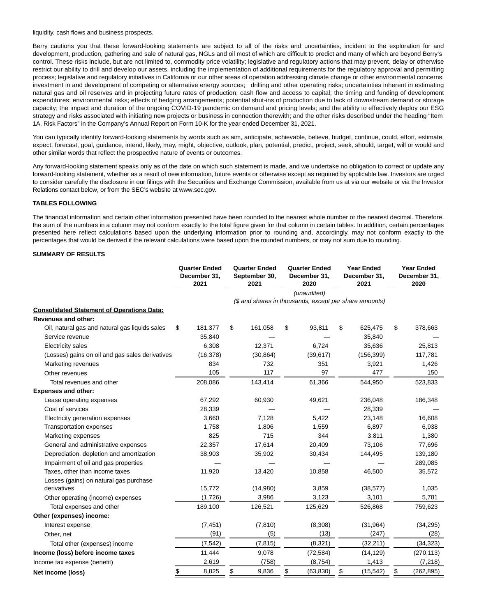liquidity, cash flows and business prospects.

Berry cautions you that these forward-looking statements are subject to all of the risks and uncertainties, incident to the exploration for and development, production, gathering and sale of natural gas, NGLs and oil most of which are difficult to predict and many of which are beyond Berry's control. These risks include, but are not limited to, commodity price volatility; legislative and regulatory actions that may prevent, delay or otherwise restrict our ability to drill and develop our assets, including the implementation of additional requirements for the regulatory approval and permitting process; legislative and regulatory initiatives in California or our other areas of operation addressing climate change or other environmental concerns; investment in and development of competing or alternative energy sources; drilling and other operating risks; uncertainties inherent in estimating natural gas and oil reserves and in projecting future rates of production; cash flow and access to capital; the timing and funding of development expenditures; environmental risks; effects of hedging arrangements; potential shut-ins of production due to lack of downstream demand or storage capacity; the impact and duration of the ongoing COVID-19 pandemic on demand and pricing levels; and the ability to effectively deploy our ESG strategy and risks associated with initiating new projects or business in connection therewith; and the other risks described under the heading "Item 1A. Risk Factors" in the Company's Annual Report on Form 10-K for the year ended December 31, 2021.

You can typically identify forward-looking statements by words such as aim, anticipate, achievable, believe, budget, continue, could, effort, estimate, expect, forecast, goal, guidance, intend, likely, may, might, objective, outlook, plan, potential, predict, project, seek, should, target, will or would and other similar words that reflect the prospective nature of events or outcomes.

Any forward-looking statement speaks only as of the date on which such statement is made, and we undertake no obligation to correct or update any forward-looking statement, whether as a result of new information, future events or otherwise except as required by applicable law. Investors are urged to consider carefully the disclosure in our filings with the Securities and Exchange Commission, available from us at via our website or via the Investor Relations contact below, or from the SEC's website at www.sec.gov.

### **TABLES FOLLOWING**

The financial information and certain other information presented have been rounded to the nearest whole number or the nearest decimal. Therefore, the sum of the numbers in a column may not conform exactly to the total figure given for that column in certain tables. In addition, certain percentages presented here reflect calculations based upon the underlying information prior to rounding and, accordingly, may not conform exactly to the percentages that would be derived if the relevant calculations were based upon the rounded numbers, or may not sum due to rounding.

#### **SUMMARY OF RESULTS**

|                                                   | <b>Quarter Ended</b><br>December 31,<br>2021 |           |             | <b>Quarter Ended</b><br>September 30,<br>2021          |                 | <b>Quarter Ended</b><br>December 31,<br>2020 | <b>Year Ended</b><br>December 31,<br>2021 | <b>Year Ended</b><br>December 31,<br>2020 |
|---------------------------------------------------|----------------------------------------------|-----------|-------------|--------------------------------------------------------|-----------------|----------------------------------------------|-------------------------------------------|-------------------------------------------|
|                                                   |                                              |           |             |                                                        |                 | (unaudited)                                  |                                           |                                           |
|                                                   |                                              |           |             | (\$ and shares in thousands, except per share amounts) |                 |                                              |                                           |                                           |
| <b>Consolidated Statement of Operations Data:</b> |                                              |           |             |                                                        |                 |                                              |                                           |                                           |
| <b>Revenues and other:</b>                        |                                              |           |             |                                                        |                 |                                              |                                           |                                           |
| Oil, natural gas and natural gas liquids sales    | \$                                           | 181,377   | \$          | 161,058                                                | \$              | 93,811                                       | \$<br>625,475                             | \$<br>378,663                             |
| Service revenue                                   |                                              | 35,840    |             |                                                        |                 |                                              | 35,840                                    |                                           |
| Electricity sales                                 |                                              | 6,308     |             | 12.371                                                 |                 | 6.724                                        | 35,636                                    | 25,813                                    |
| (Losses) gains on oil and gas sales derivatives   |                                              | (16, 378) |             | (30, 864)                                              |                 | (39, 617)                                    | (156, 399)                                | 117,781                                   |
| Marketing revenues                                |                                              | 834       |             | 732                                                    |                 | 351                                          | 3,921                                     | 1,426                                     |
| Other revenues                                    |                                              | 105       |             | 117                                                    |                 | 97                                           | 477                                       | 150                                       |
| Total revenues and other                          |                                              | 208,086   |             | 143,414                                                |                 | 61,366                                       | 544,950                                   | 523,833                                   |
| <b>Expenses and other:</b>                        |                                              |           |             |                                                        |                 |                                              |                                           |                                           |
| Lease operating expenses                          |                                              | 67,292    |             | 60,930                                                 |                 | 49,621                                       | 236,048                                   | 186,348                                   |
| Cost of services                                  |                                              | 28,339    |             |                                                        |                 |                                              | 28,339                                    |                                           |
| Electricity generation expenses                   |                                              | 3,660     |             | 7,128                                                  |                 | 5,422                                        | 23,148                                    | 16,608                                    |
| <b>Transportation expenses</b>                    |                                              | 1,758     |             | 1,806                                                  |                 | 1,559                                        | 6,897                                     | 6,938                                     |
| Marketing expenses                                |                                              | 825       |             | 715                                                    |                 | 344                                          | 3,811                                     | 1,380                                     |
| General and administrative expenses               |                                              | 22,357    |             | 17,614                                                 |                 | 20,409                                       | 73,106                                    | 77,696                                    |
| Depreciation, depletion and amortization          |                                              | 38,903    |             | 35,902                                                 |                 | 30,434                                       | 144,495                                   | 139,180                                   |
| Impairment of oil and gas properties              |                                              |           |             |                                                        |                 |                                              |                                           | 289,085                                   |
| Taxes, other than income taxes                    |                                              | 11,920    |             | 13,420                                                 |                 | 10,858                                       | 46,500                                    | 35,572                                    |
| Losses (gains) on natural gas purchase            |                                              |           |             |                                                        |                 |                                              |                                           |                                           |
| derivatives                                       |                                              | 15,772    |             | (14,980)                                               |                 | 3,859                                        | (38, 577)                                 | 1,035                                     |
| Other operating (income) expenses                 |                                              | (1,726)   |             | 3,986                                                  |                 | 3,123                                        | 3,101                                     | 5,781                                     |
| Total expenses and other                          |                                              | 189,100   |             | 126,521                                                |                 | 125,629                                      | 526,868                                   | 759,623                                   |
| Other (expenses) income:                          |                                              |           |             |                                                        |                 |                                              |                                           |                                           |
| Interest expense                                  |                                              | (7, 451)  |             | (7, 810)                                               |                 | (8,308)                                      | (31, 964)                                 | (34, 295)                                 |
| Other, net                                        |                                              | (91)      |             | (5)                                                    |                 | (13)                                         | (247)                                     | (28)                                      |
| Total other (expenses) income                     |                                              | (7, 542)  |             | (7, 815)                                               |                 | (8,321)                                      | (32, 211)                                 | (34, 323)                                 |
| Income (loss) before income taxes                 |                                              | 11,444    |             | 9,078                                                  |                 | (72, 584)                                    | (14, 129)                                 | (270, 113)                                |
| Income tax expense (benefit)                      |                                              | 2,619     |             | (758)                                                  |                 | (8, 754)                                     | 1,413                                     | (7, 218)                                  |
| Net income (loss)                                 | 8,825<br>\$                                  |           | 9,836<br>\$ |                                                        | \$<br>(63, 830) |                                              | \$<br>(15, 542)                           | \$<br>(262, 895)                          |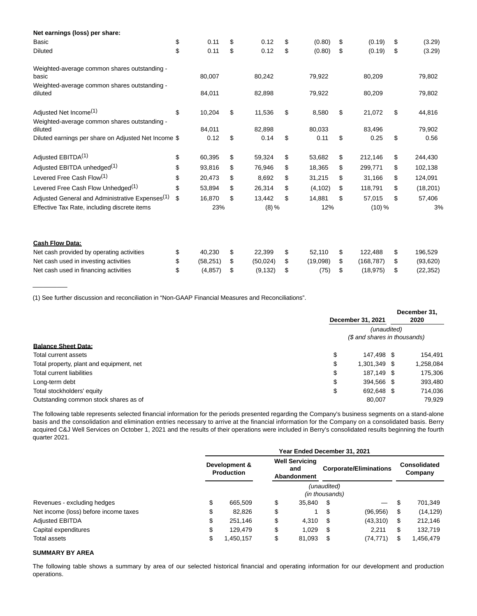| Net earnings (loss) per share:                                      |                 |                 |                |                  |                 |
|---------------------------------------------------------------------|-----------------|-----------------|----------------|------------------|-----------------|
| Basic                                                               | \$<br>0.11      | \$<br>0.12      | \$<br>(0.80)   | \$<br>(0.19)     | \$<br>(3.29)    |
| <b>Diluted</b>                                                      | \$<br>0.11      | \$<br>0.12      | \$<br>(0.80)   | \$<br>(0.19)     | \$<br>(3.29)    |
| Weighted-average common shares outstanding -<br>basic               | 80,007          | 80,242          | 79,922         | 80,209           | 79,802          |
| Weighted-average common shares outstanding -<br>diluted             | 84,011          | 82,898          | 79,922         | 80,209           | 79,802          |
| Adjusted Net Income <sup>(1)</sup>                                  | \$<br>10,204    | \$<br>11,536    | \$<br>8,580    | \$<br>21,072     | \$<br>44,816    |
| Weighted-average common shares outstanding -<br>diluted             | 84,011          | 82,898          | 80,033         | 83,496           | 79,902          |
| Diluted earnings per share on Adjusted Net Income \$                | 0.12            | \$<br>0.14      | \$<br>0.11     | \$<br>0.25       | \$<br>0.56      |
| Adjusted EBITDA <sup>(1)</sup>                                      | \$<br>60,395    | \$<br>59,324    | \$<br>53,682   | \$<br>212,146    | \$<br>244,430   |
| Adjusted EBITDA unhedged <sup>(1)</sup>                             | \$<br>93,816    | \$<br>76,946    | \$<br>18,365   | \$<br>299,771    | \$<br>102,138   |
| Levered Free Cash Flow <sup>(1)</sup>                               | \$<br>20,473    | \$<br>8,692     | \$<br>31,215   | \$<br>31,166     | \$<br>124,091   |
| Levered Free Cash Flow Unhedged <sup>(1)</sup>                      | \$<br>53,894    | \$<br>26,314    | \$<br>(4, 102) | \$<br>118,791    | \$<br>(18, 201) |
| Adjusted General and Administrative Expenses <sup>(1)</sup>         | \$<br>16,870    | \$<br>13,442    | \$<br>14,881   | \$<br>57,015     | \$<br>57,406    |
| Effective Tax Rate, including discrete items                        | 23%             | $(8) \%$        | 12%            | $(10)\%$         | 3%              |
|                                                                     |                 |                 |                |                  |                 |
| <b>Cash Flow Data:</b><br>Net cash provided by operating activities | \$<br>40,230    | \$<br>22,399    | \$<br>52,110   | \$<br>122,488    | \$<br>196,529   |
| Net cash used in investing activities                               | \$<br>(58, 251) | \$<br>(50, 024) | \$<br>(19,098) | \$<br>(168, 787) | \$<br>(93, 620) |
| Net cash used in financing activities                               | \$<br>(4, 857)  | \$<br>(9, 132)  | \$<br>(75)     | \$<br>(18, 975)  | \$<br>(22, 352) |

(1) See further discussion and reconciliation in "Non-GAAP Financial Measures and Reconciliations".

|                                          |         | December 31, 2021            |  | December 31,<br>2020 |  |  |  |  |  |
|------------------------------------------|---------|------------------------------|--|----------------------|--|--|--|--|--|
|                                          |         | (unaudited)                  |  |                      |  |  |  |  |  |
|                                          |         | (\$ and shares in thousands) |  |                      |  |  |  |  |  |
| <b>Balance Sheet Data:</b>               |         |                              |  |                      |  |  |  |  |  |
| Total current assets                     | Φ       | 147.498 \$                   |  | 154.491              |  |  |  |  |  |
| Total property, plant and equipment, net | J       | 1,301,349 \$                 |  | 1,258,084            |  |  |  |  |  |
| Total current liabilities                | ¢<br>J  | 187.149 \$                   |  | 175,306              |  |  |  |  |  |
| Long-term debt                           | ¢<br>۰D | 394.566 \$                   |  | 393,480              |  |  |  |  |  |
| Total stockholders' equity               | ¢<br>Φ  | 692,648 \$                   |  | 714,036              |  |  |  |  |  |
| Outstanding common stock shares as of    |         | 80.007                       |  | 79.929               |  |  |  |  |  |

The following table represents selected financial information for the periods presented regarding the Company's business segments on a stand-alone basis and the consolidation and elimination entries necessary to arrive at the financial information for the Company on a consolidated basis. Berry acquired C&J Well Services on October 1, 2021 and the results of their operations were included in Berry's consolidated results beginning the fourth quarter 2021.

|                                       |                                    |           | Year Ended December 31, 2021 |                                             |                               |                               |    |                                |
|---------------------------------------|------------------------------------|-----------|------------------------------|---------------------------------------------|-------------------------------|-------------------------------|----|--------------------------------|
|                                       | Development &<br><b>Production</b> |           |                              | <b>Well Servicing</b><br>and<br>Abandonment |                               | <b>Corporate/Eliminations</b> |    | <b>Consolidated</b><br>Company |
|                                       |                                    |           |                              |                                             | (unaudited)<br>(in thousands) |                               |    |                                |
| Revenues - excluding hedges           | \$                                 | 665.509   | \$                           | 35.840                                      | - \$                          | —                             | S  | 701.349                        |
| Net income (loss) before income taxes | \$                                 | 82,826    | \$                           |                                             | S                             | (96, 956)                     | S  | (14, 129)                      |
| <b>Adjusted EBITDA</b>                | \$                                 | 251.146   | \$                           | 4.310                                       | - \$                          | (43,310)                      | S  | 212,146                        |
| Capital expenditures                  | \$                                 | 129.479   | \$                           | 1.029                                       | - \$                          | 2.211                         | \$ | 132,719                        |
| Total assets                          | \$                                 | 1,450,157 | \$                           | 81,093                                      | - \$                          | (74, 771)                     | S  | .456,479                       |

### **SUMMARY BY AREA**

\_\_\_\_\_\_\_\_\_\_

The following table shows a summary by area of our selected historical financial and operating information for our development and production operations.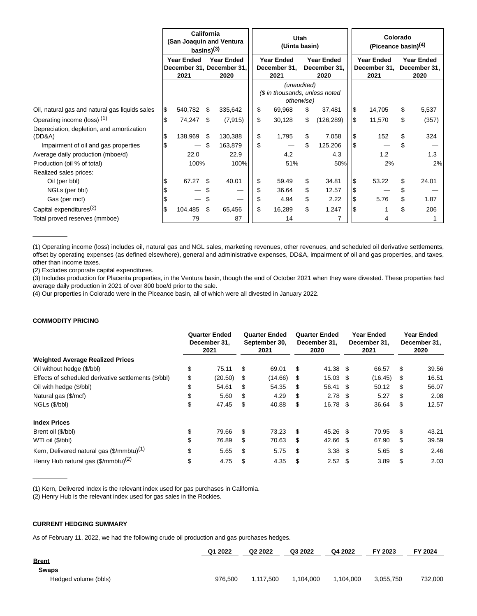|                                                     | California<br>(San Joaquin and Ventura<br>basins $)^{(3)}$ |                                                                                     |     |          |    | (Uinta basin)                                               | <b>Utah</b>                               |            | Colorado<br>(Piceance basin) <sup>(4)</sup> |                                           |     |       |  |  |
|-----------------------------------------------------|------------------------------------------------------------|-------------------------------------------------------------------------------------|-----|----------|----|-------------------------------------------------------------|-------------------------------------------|------------|---------------------------------------------|-------------------------------------------|-----|-------|--|--|
|                                                     |                                                            | <b>Year Ended</b><br><b>Year Ended</b><br>December 31, December 31,<br>2021<br>2020 |     |          |    | <b>Year Ended</b><br>December 31,<br>2021                   | <b>Year Ended</b><br>December 31,<br>2020 |            | <b>Year Ended</b><br>December 31,<br>2021   | <b>Year Ended</b><br>December 31,<br>2020 |     |       |  |  |
|                                                     |                                                            |                                                                                     |     |          |    | (unaudited)<br>(\$ in thousands, unless noted<br>otherwise) |                                           |            |                                             |                                           |     |       |  |  |
| Oil, natural gas and natural gas liquids sales      | 1\$                                                        | 540,782                                                                             | \$  | 335,642  | \$ | 69,968                                                      | \$                                        | 37,481     | ۱\$                                         | 14,705                                    | \$  | 5,537 |  |  |
| Operating income (loss) <sup>(1)</sup>              |                                                            | 74,247                                                                              | \$  | (7, 915) | \$ | 30,128                                                      | \$                                        | (126, 289) | l\$                                         | 11,570                                    | \$  | (357) |  |  |
| Depreciation, depletion, and amortization<br>(DD&A) | S                                                          | 138,969                                                                             | S   | 130,388  | \$ | 1,795                                                       | \$                                        | 7,058      | 1\$                                         | 152                                       | \$  | 324   |  |  |
| Impairment of oil and gas properties                |                                                            |                                                                                     |     | 163,879  | \$ |                                                             | \$                                        | 125,206    |                                             |                                           |     |       |  |  |
| Average daily production (mboe/d)                   |                                                            | 22.0                                                                                |     | 22.9     |    | 4.2                                                         |                                           | 4.3        |                                             | 1.2                                       |     | 1.3   |  |  |
| Production (oil % of total)                         |                                                            | 100%                                                                                |     | 100%     |    | 51%                                                         |                                           | 50%        |                                             | 2%                                        |     | 2%    |  |  |
| Realized sales prices:                              |                                                            |                                                                                     |     |          |    |                                                             |                                           |            |                                             |                                           |     |       |  |  |
| Oil (per bbl)                                       |                                                            | 67.27                                                                               | \$. | 40.01    | \$ | 59.49                                                       | \$                                        | 34.81      | ۱\$                                         | 53.22                                     | \$. | 24.01 |  |  |
| NGLs (per bbl)                                      |                                                            |                                                                                     |     |          |    | 36.64                                                       | \$                                        | 12.57      | I\$                                         |                                           |     |       |  |  |
| Gas (per mcf)                                       |                                                            |                                                                                     |     |          | S  | 4.94                                                        | \$                                        | 2.22       | I\$                                         | 5.76                                      | \$  | 1.87  |  |  |
| Capital expenditures <sup>(2)</sup>                 | ß.                                                         | 104,485                                                                             | \$  | 65,456   | \$ | 16,289                                                      | \$                                        | 1,247      | 1\$                                         |                                           | \$  | 206   |  |  |
| Total proved reserves (mmboe)                       |                                                            | 79                                                                                  |     | 87       |    | 14                                                          |                                           |            |                                             |                                           |     |       |  |  |

(1) Operating income (loss) includes oil, natural gas and NGL sales, marketing revenues, other revenues, and scheduled oil derivative settlements, offset by operating expenses (as defined elsewhere), general and administrative expenses, DD&A, impairment of oil and gas properties, and taxes, other than income taxes.

(2) Excludes corporate capital expenditures.

(3) Includes production for Placerita properties, in the Ventura basin, though the end of October 2021 when they were divested. These properties had average daily production in 2021 of over 800 boe/d prior to the sale.

(4) Our properties in Colorado were in the Piceance basin, all of which were all divested in January 2022.

# **COMMODITY PRICING**

 $\overline{\phantom{a}}$ 

|                                                       | <b>Quarter Ended</b><br>December 31.<br>2021 |         |    | <b>Quarter Ended</b><br>September 30,<br>2021 | <b>Quarter Ended</b><br>December 31,<br>2020 |                   |  | Year Ended<br>December 31.<br>2021 | Year Ended<br>December 31,<br>2020 |       |  |
|-------------------------------------------------------|----------------------------------------------|---------|----|-----------------------------------------------|----------------------------------------------|-------------------|--|------------------------------------|------------------------------------|-------|--|
| <b>Weighted Average Realized Prices</b>               |                                              |         |    |                                               |                                              |                   |  |                                    |                                    |       |  |
| Oil without hedge (\$/bbl)                            | \$                                           | 75.11   | \$ | 69.01                                         | \$                                           | 41.38 \$          |  | 66.57                              | \$                                 | 39.56 |  |
| Effects of scheduled derivative settlements (\$/bbl)  | \$                                           | (20.50) | \$ | (14.66)                                       | \$                                           | $15.03$ \$        |  | (16.45)                            | S                                  | 16.51 |  |
| Oil with hedge (\$/bbl)                               | \$                                           | 54.61   | \$ | 54.35                                         | \$                                           | 56.41 \$          |  | 50.12                              | \$                                 | 56.07 |  |
| Natural gas (\$/mcf)                                  | \$                                           | 5.60    | S  | 4.29                                          | S                                            | $2.78$ \$         |  | 5.27                               | S                                  | 2.08  |  |
| NGLs (\$/bbl)                                         | \$                                           | 47.45   | \$ | 40.88                                         | \$                                           | 16.78 \$          |  | 36.64                              | \$                                 | 12.57 |  |
| <b>Index Prices</b>                                   |                                              |         |    |                                               |                                              |                   |  |                                    |                                    |       |  |
| Brent oil (\$/bbl)                                    | \$                                           | 79.66   | \$ | 73.23                                         | \$                                           | 45.26 \$          |  | 70.95                              | \$                                 | 43.21 |  |
| WTI oil (\$/bbl)                                      | \$                                           | 76.89   | S  | 70.63                                         | \$                                           | 42.66 \$          |  | 67.90                              | \$                                 | 39.59 |  |
| Kern, Delivered natural gas (\$/mmbtu) <sup>(1)</sup> | \$                                           | 5.65    | \$ | 5.75                                          | \$                                           | $3.38$ \$         |  | 5.65                               | \$.                                | 2.46  |  |
| Henry Hub natural gas (\$/mmbtu) <sup>(2)</sup>       | \$                                           | 4.75    | \$ | 4.35                                          | \$                                           | 2.52 <sup>5</sup> |  | 3.89                               | \$                                 | 2.03  |  |

(1) Kern, Delivered Index is the relevant index used for gas purchases in California.

(2) Henry Hub is the relevant index used for gas sales in the Rockies.

### **CURRENT HEDGING SUMMARY**

 $\overline{\phantom{a}}$ 

As of February 11, 2022, we had the following crude oil production and gas purchases hedges.

|                      | Q1 2022 | Q2 2022   | Q3 2022   | Q4 2022   | FY 2023   | FY 2024 |
|----------------------|---------|-----------|-----------|-----------|-----------|---------|
| <b>Brent</b>         |         |           |           |           |           |         |
| <b>Swaps</b>         |         |           |           |           |           |         |
| Hedged volume (bbls) | 976.500 | 1.117.500 | 1.104.000 | 1.104.000 | 3.055.750 | 732.000 |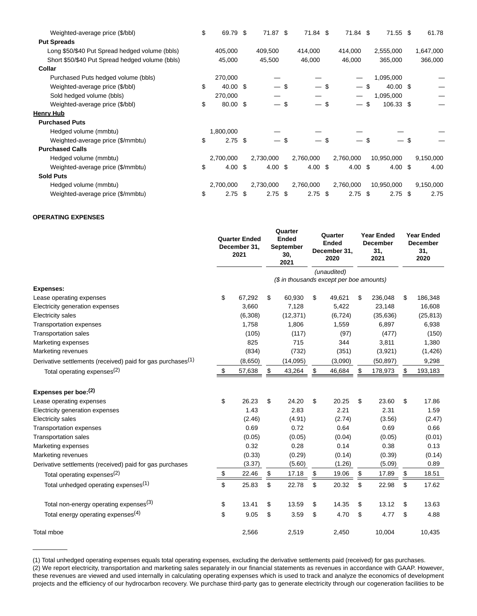| Weighted-average price (\$/bbl)                 | \$<br>69.79              | -\$ | 71.87 \$  | 71.84 \$           | 71.84 \$           | 71.55 \$   |     | 61.78     |
|-------------------------------------------------|--------------------------|-----|-----------|--------------------|--------------------|------------|-----|-----------|
| <b>Put Spreads</b>                              |                          |     |           |                    |                    |            |     |           |
| Long \$50/\$40 Put Spread hedged volume (bbls)  | 405,000                  |     | 409,500   | 414,000            | 414,000            | 2,555,000  |     | 1,647,000 |
| Short \$50/\$40 Put Spread hedged volume (bbls) | 45,000                   |     | 45,500    | 46,000             | 46,000             | 365,000    |     | 366,000   |
| Collar                                          |                          |     |           |                    |                    |            |     |           |
| Purchased Puts hedged volume (bbls)             | 270,000                  |     |           |                    |                    | 1,095,000  |     |           |
| Weighted-average price (\$/bbl)                 | \$<br>40.00 \$           |     | — \$      | $-$ \$             | $-$ \$             | 40.00 \$   |     |           |
| Sold hedged volume (bbls)                       | 270,000                  |     |           |                    |                    | 1,095,000  |     |           |
| Weighted-average price (\$/bbl)                 | \$<br>80.00 \$           |     | $-$ \$    | $-$ \$             | $-$ \$             | 106.33 \$  |     |           |
| Henry Hub                                       |                          |     |           |                    |                    |            |     |           |
| <b>Purchased Puts</b>                           |                          |     |           |                    |                    |            |     |           |
| Hedged volume (mmbtu)                           | 1,800,000                |     |           |                    |                    |            |     |           |
| Weighted-average price (\$/mmbtu)               | \$<br>$2.75$ \$          |     | — \$      |                    | \$<br>— \$         |            | \$  |           |
| <b>Purchased Calls</b>                          |                          |     |           |                    |                    |            |     |           |
| Hedged volume (mmbtu)                           | 2,700,000                |     | 2,730,000 | 2,760,000          | 2,760,000          | 10,950,000 |     | 9,150,000 |
| Weighted-average price (\$/mmbtu)               | \$<br>$4.00 \text{ }$ \$ |     | 4.00 $$$  | $4.00 \text{ }$ \$ | $4.00 \text{ }$ \$ | 4.00 \$    |     | 4.00      |
| <b>Sold Puts</b>                                |                          |     |           |                    |                    |            |     |           |
| Hedged volume (mmbtu)                           | 2,700,000                |     | 2,730,000 | 2,760,000          | 2,760,000          | 10,950,000 |     | 9,150,000 |
| Weighted-average price (\$/mmbtu)               | \$<br>2.75               | S   | $2.75$ \$ | 2.75               | \$<br>$2.75$ \$    | 2.75       | -\$ | 2.75      |

### **OPERATING EXPENSES**

 $\overline{\phantom{a}}$ 

|                                                                         | <b>Quarter Ended</b><br>December 31,<br>2021 |    | Quarter<br><b>Ended</b><br><b>September</b><br>30,<br>2021 |    | Quarter<br><b>Ended</b><br>December 31,<br>2020 | <b>Year Ended</b><br><b>December</b><br>31,<br>2021 | <b>Year Ended</b><br><b>December</b><br>31,<br>2020 |  |
|-------------------------------------------------------------------------|----------------------------------------------|----|------------------------------------------------------------|----|-------------------------------------------------|-----------------------------------------------------|-----------------------------------------------------|--|
|                                                                         |                                              |    |                                                            |    | (unaudited)                                     |                                                     |                                                     |  |
|                                                                         |                                              |    | (\$ in thousands except per boe amounts)                   |    |                                                 |                                                     |                                                     |  |
| <b>Expenses:</b>                                                        |                                              |    |                                                            |    |                                                 |                                                     |                                                     |  |
| Lease operating expenses                                                | \$<br>67,292                                 | \$ | 60,930                                                     | \$ | 49,621                                          | \$<br>236,048                                       | \$<br>186,348                                       |  |
| Electricity generation expenses                                         | 3,660                                        |    | 7,128                                                      |    | 5,422                                           | 23,148                                              | 16,608                                              |  |
| <b>Electricity sales</b>                                                | (6, 308)                                     |    | (12, 371)                                                  |    | (6, 724)                                        | (35, 636)                                           | (25, 813)                                           |  |
| <b>Transportation expenses</b>                                          | 1,758                                        |    | 1,806                                                      |    | 1,559                                           | 6,897                                               | 6,938                                               |  |
| <b>Transportation sales</b>                                             | (105)                                        |    | (117)                                                      |    | (97)                                            | (477)                                               | (150)                                               |  |
| Marketing expenses                                                      | 825                                          |    | 715                                                        |    | 344                                             | 3,811                                               | 1,380                                               |  |
| Marketing revenues                                                      | (834)                                        |    | (732)                                                      |    | (351)                                           | (3,921)                                             | (1,426)                                             |  |
| Derivative settlements (received) paid for gas purchases <sup>(1)</sup> | (8,650)                                      |    | (14,095)                                                   |    | (3,090)                                         | (50, 897)                                           | 9,298                                               |  |
| Total operating expenses <sup>(2)</sup>                                 | \$<br>57,638                                 | \$ | 43,264                                                     | \$ | 46,684                                          | \$<br>178,973                                       | \$<br>193,183                                       |  |
| Expenses per boe:(2)                                                    |                                              |    |                                                            |    |                                                 |                                                     |                                                     |  |
| Lease operating expenses                                                | \$<br>26.23                                  | \$ | 24.20                                                      | \$ | 20.25                                           | \$<br>23.60                                         | \$<br>17.86                                         |  |
| Electricity generation expenses                                         | 1.43                                         |    | 2.83                                                       |    | 2.21                                            | 2.31                                                | 1.59                                                |  |
| <b>Electricity sales</b>                                                | (2.46)                                       |    | (4.91)                                                     |    | (2.74)                                          | (3.56)                                              | (2.47)                                              |  |
| <b>Transportation expenses</b>                                          | 0.69                                         |    | 0.72                                                       |    | 0.64                                            | 0.69                                                | 0.66                                                |  |
| <b>Transportation sales</b>                                             | (0.05)                                       |    | (0.05)                                                     |    | (0.04)                                          | (0.05)                                              | (0.01)                                              |  |
| Marketing expenses                                                      | 0.32                                         |    | 0.28                                                       |    | 0.14                                            | 0.38                                                | 0.13                                                |  |
| Marketing revenues                                                      | (0.33)                                       |    | (0.29)                                                     |    | (0.14)                                          | (0.39)                                              | (0.14)                                              |  |
| Derivative settlements (received) paid for gas purchases                | (3.37)                                       |    | (5.60)                                                     |    | (1.26)                                          | (5.09)                                              | 0.89                                                |  |
| Total operating expenses <sup>(2)</sup>                                 | \$<br>22.46                                  | \$ | 17.18                                                      | \$ | 19.06                                           | \$<br>17.89                                         | \$<br>18.51                                         |  |
| Total unhedged operating expenses <sup>(1)</sup>                        | \$<br>25.83                                  | \$ | 22.78                                                      | \$ | 20.32                                           | \$<br>22.98                                         | \$<br>17.62                                         |  |
| Total non-energy operating expenses <sup>(3)</sup>                      | \$<br>13.41                                  | \$ | 13.59                                                      | \$ | 14.35                                           | \$<br>13.12                                         | \$<br>13.63                                         |  |
| Total energy operating expenses <sup>(4)</sup>                          | \$<br>9.05                                   | \$ | 3.59                                                       | \$ | 4.70                                            | \$<br>4.77                                          | \$<br>4.88                                          |  |
| Total mboe                                                              | 2,566                                        |    | 2,519                                                      |    | 2,450                                           | 10,004                                              | 10,435                                              |  |

(1) Total unhedged operating expenses equals total operating expenses, excluding the derivative settlements paid (received) for gas purchases. (2) We report electricity, transportation and marketing sales separately in our financial statements as revenues in accordance with GAAP. However, these revenues are viewed and used internally in calculating operating expenses which is used to track and analyze the economics of development projects and the efficiency of our hydrocarbon recovery. We purchase third-party gas to generate electricity through our cogeneration facilities to be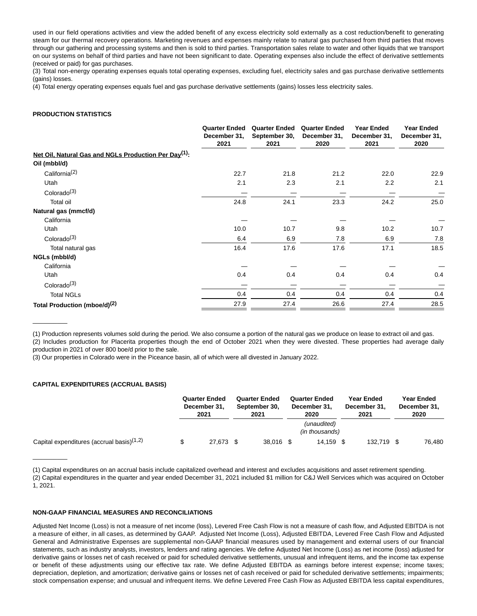used in our field operations activities and view the added benefit of any excess electricity sold externally as a cost reduction/benefit to generating steam for our thermal recovery operations. Marketing revenues and expenses mainly relate to natural gas purchased from third parties that moves through our gathering and processing systems and then is sold to third parties. Transportation sales relate to water and other liquids that we transport on our systems on behalf of third parties and have not been significant to date. Operating expenses also include the effect of derivative settlements (received or paid) for gas purchases.

(3) Total non-energy operating expenses equals total operating expenses, excluding fuel, electricity sales and gas purchase derivative settlements (gains) losses.

(4) Total energy operating expenses equals fuel and gas purchase derivative settlements (gains) losses less electricity sales.

### **PRODUCTION STATISTICS**

|                                                                   | <b>Quarter Ended</b><br>December 31,<br>2021 | <b>Quarter Ended</b><br>September 30,<br>2021 | <b>Quarter Ended</b><br>December 31,<br>2020 | <b>Year Ended</b><br>December 31,<br>2021 | <b>Year Ended</b><br>December 31,<br>2020 |
|-------------------------------------------------------------------|----------------------------------------------|-----------------------------------------------|----------------------------------------------|-------------------------------------------|-------------------------------------------|
| Net Oil, Natural Gas and NGLs Production Per Day <sup>(1)</sup> : |                                              |                                               |                                              |                                           |                                           |
| Oil (mbbl/d)                                                      |                                              |                                               |                                              |                                           |                                           |
| California <sup>(2)</sup>                                         | 22.7                                         | 21.8                                          | 21.2                                         | 22.0                                      | 22.9                                      |
| Utah                                                              | 2.1                                          | 2.3                                           | 2.1                                          | 2.2                                       | 2.1                                       |
| Colorado $(3)$                                                    |                                              |                                               |                                              |                                           |                                           |
| Total oil                                                         | 24.8                                         | 24.1                                          | 23.3                                         | 24.2                                      | 25.0                                      |
| Natural gas (mmcf/d)                                              |                                              |                                               |                                              |                                           |                                           |
| California                                                        |                                              |                                               |                                              |                                           |                                           |
| Utah                                                              | 10.0                                         | 10.7                                          | 9.8                                          | 10.2                                      | 10.7                                      |
| Colorado <sup>(3)</sup>                                           | 6.4                                          | 6.9                                           | 7.8                                          | 6.9                                       | 7.8                                       |
| Total natural gas                                                 | 16.4                                         | 17.6                                          | 17.6                                         | 17.1                                      | 18.5                                      |
| NGLs (mbbl/d)                                                     |                                              |                                               |                                              |                                           |                                           |
| California                                                        |                                              |                                               |                                              |                                           |                                           |
| Utah                                                              | 0.4                                          | 0.4                                           | 0.4                                          | 0.4                                       | 0.4                                       |
| Colorado <sup>(3)</sup>                                           |                                              |                                               |                                              |                                           |                                           |
| <b>Total NGLs</b>                                                 | 0.4                                          | 0.4                                           | 0.4                                          | 0.4                                       | 0.4                                       |
| Total Production (mboe/d) <sup>(2)</sup>                          | 27.9                                         | 27.4                                          | 26.6                                         | 27.4                                      | 28.5                                      |

(1) Production represents volumes sold during the period. We also consume a portion of the natural gas we produce on lease to extract oil and gas. (2) Includes production for Placerita properties though the end of October 2021 when they were divested. These properties had average daily

production in 2021 of over 800 boe/d prior to the sale.

\_\_\_\_\_\_\_\_\_\_

 $\overline{\phantom{a}}$ 

(3) Our properties in Colorado were in the Piceance basin, all of which were all divested in January 2022.

### **CAPITAL EXPENDITURES (ACCRUAL BASIS)**

|                                              | <b>Quarter Ended</b><br>December 31.<br>2021 |           | <b>Quarter Ended</b><br>September 30.<br>2021 | <b>Quarter Ended</b><br>December 31.<br>2020 |      | Year Ended<br>December 31.<br>2021 | <b>Year Ended</b><br>December 31.<br>2020 |
|----------------------------------------------|----------------------------------------------|-----------|-----------------------------------------------|----------------------------------------------|------|------------------------------------|-------------------------------------------|
|                                              |                                              |           |                                               | (unaudited)<br>(in thousands)                |      |                                    |                                           |
| Capital expenditures (accrual basis) $(1,2)$ |                                              | 27,673 \$ | 38.016 \$                                     | 14.159                                       | - \$ | 132.719                            | 76,480                                    |

(1) Capital expenditures on an accrual basis include capitalized overhead and interest and excludes acquisitions and asset retirement spending.

(2) Capital expenditures in the quarter and year ended December 31, 2021 included \$1 million for C&J Well Services which was acquired on October 1, 2021.

#### **NON-GAAP FINANCIAL MEASURES AND RECONCILIATIONS**

Adjusted Net Income (Loss) is not a measure of net income (loss), Levered Free Cash Flow is not a measure of cash flow, and Adjusted EBITDA is not a measure of either, in all cases, as determined by GAAP. Adjusted Net Income (Loss), Adjusted EBITDA, Levered Free Cash Flow and Adjusted General and Administrative Expenses are supplemental non-GAAP financial measures used by management and external users of our financial statements, such as industry analysts, investors, lenders and rating agencies. We define Adjusted Net Income (Loss) as net income (loss) adjusted for derivative gains or losses net of cash received or paid for scheduled derivative settlements, unusual and infrequent items, and the income tax expense or benefit of these adjustments using our effective tax rate. We define Adjusted EBITDA as earnings before interest expense; income taxes; depreciation, depletion, and amortization; derivative gains or losses net of cash received or paid for scheduled derivative settlements; impairments; stock compensation expense; and unusual and infrequent items. We define Levered Free Cash Flow as Adjusted EBITDA less capital expenditures,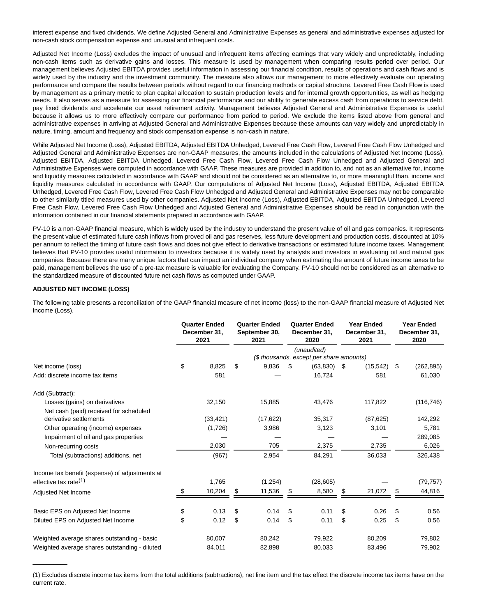interest expense and fixed dividends. We define Adjusted General and Administrative Expenses as general and administrative expenses adjusted for non-cash stock compensation expense and unusual and infrequent costs.

Adjusted Net Income (Loss) excludes the impact of unusual and infrequent items affecting earnings that vary widely and unpredictably, including non-cash items such as derivative gains and losses. This measure is used by management when comparing results period over period. Our management believes Adjusted EBITDA provides useful information in assessing our financial condition, results of operations and cash flows and is widely used by the industry and the investment community. The measure also allows our management to more effectively evaluate our operating performance and compare the results between periods without regard to our financing methods or capital structure. Levered Free Cash Flow is used by management as a primary metric to plan capital allocation to sustain production levels and for internal growth opportunities, as well as hedging needs. It also serves as a measure for assessing our financial performance and our ability to generate excess cash from operations to service debt, pay fixed dividends and accelerate our asset retirement activity. Management believes Adjusted General and Administrative Expenses is useful because it allows us to more effectively compare our performance from period to period. We exclude the items listed above from general and administrative expenses in arriving at Adjusted General and Administrative Expenses because these amounts can vary widely and unpredictably in nature, timing, amount and frequency and stock compensation expense is non-cash in nature.

While Adjusted Net Income (Loss), Adjusted EBITDA, Adjusted EBITDA Unhedged, Levered Free Cash Flow, Levered Free Cash Flow Unhedged and Adjusted General and Administrative Expenses are non-GAAP measures, the amounts included in the calculations of Adjusted Net Income (Loss), Adjusted EBITDA, Adjusted EBITDA Unhedged, Levered Free Cash Flow, Levered Free Cash Flow Unhedged and Adjusted General and Administrative Expenses were computed in accordance with GAAP. These measures are provided in addition to, and not as an alternative for, income and liquidity measures calculated in accordance with GAAP and should not be considered as an alternative to, or more meaningful than, income and liquidity measures calculated in accordance with GAAP. Our computations of Adjusted Net Income (Loss), Adjusted EBITDA, Adjusted EBITDA Unhedged, Levered Free Cash Flow, Levered Free Cash Flow Unhedged and Adjusted General and Administrative Expenses may not be comparable to other similarly titled measures used by other companies. Adjusted Net Income (Loss), Adjusted EBITDA, Adjusted EBITDA Unhedged, Levered Free Cash Flow, Levered Free Cash Flow Unhedged and Adjusted General and Administrative Expenses should be read in conjunction with the information contained in our financial statements prepared in accordance with GAAP.

PV-10 is a non-GAAP financial measure, which is widely used by the industry to understand the present value of oil and gas companies. It represents the present value of estimated future cash inflows from proved oil and gas reserves, less future development and production costs, discounted at 10% per annum to reflect the timing of future cash flows and does not give effect to derivative transactions or estimated future income taxes. Management believes that PV-10 provides useful information to investors because it is widely used by analysts and investors in evaluating oil and natural gas companies. Because there are many unique factors that can impact an individual company when estimating the amount of future income taxes to be paid, management believes the use of a pre-tax measure is valuable for evaluating the Company. PV-10 should not be considered as an alternative to the standardized measure of discounted future net cash flows as computed under GAAP.

### **ADJUSTED NET INCOME (LOSS)**

 $\overline{\phantom{a}}$ 

The following table presents a reconciliation of the GAAP financial measure of net income (loss) to the non-GAAP financial measure of Adjusted Net Income (Loss).

|                                                | <b>Quarter Ended</b><br>December 31.<br>2021 | <b>Quarter Ended</b><br>September 30,<br>2021 |    | <b>Quarter Ended</b><br>December 31,<br>2020 | <b>Year Ended</b><br>December 31,<br>2021 | <b>Year Ended</b><br>December 31,<br>2020 |
|------------------------------------------------|----------------------------------------------|-----------------------------------------------|----|----------------------------------------------|-------------------------------------------|-------------------------------------------|
|                                                |                                              |                                               |    | (unaudited)                                  |                                           |                                           |
|                                                |                                              |                                               |    | (\$ thousands, except per share amounts)     |                                           |                                           |
| Net income (loss)                              | \$<br>8,825                                  | \$<br>9,836                                   | £. | (63, 830)                                    | \$<br>(15, 542)                           | \$<br>(262, 895)                          |
| Add: discrete income tax items                 | 581                                          |                                               |    | 16,724                                       | 581                                       | 61,030                                    |
| Add (Subtract):                                |                                              |                                               |    |                                              |                                           |                                           |
| Losses (gains) on derivatives                  | 32,150                                       | 15,885                                        |    | 43,476                                       | 117,822                                   | (116, 746)                                |
| Net cash (paid) received for scheduled         |                                              |                                               |    |                                              |                                           |                                           |
| derivative settlements                         | (33, 421)                                    | (17, 622)                                     |    | 35,317                                       | (87, 625)                                 | 142,292                                   |
| Other operating (income) expenses              | (1,726)                                      | 3,986                                         |    | 3,123                                        | 3,101                                     | 5,781                                     |
| Impairment of oil and gas properties           |                                              |                                               |    |                                              |                                           | 289,085                                   |
| Non-recurring costs                            | 2,030                                        | 705                                           |    | 2,375                                        | 2,735                                     | 6,026                                     |
| Total (subtractions) additions, net            | (967)                                        | 2,954                                         |    | 84,291                                       | 36,033                                    | 326,438                                   |
| Income tax benefit (expense) of adjustments at |                                              |                                               |    |                                              |                                           |                                           |
| effective tax rate $(1)$                       | 1,765                                        | (1,254)                                       |    | (28, 605)                                    |                                           | (79, 757)                                 |
| Adjusted Net Income                            | \$<br>10,204                                 | \$<br>11,536                                  | \$ | 8,580                                        | \$<br>21,072                              | \$<br>44,816                              |
|                                                | 0.13                                         | \$<br>0.14                                    |    | 0.11                                         | \$<br>0.26                                | 0.56                                      |
| Basic EPS on Adjusted Net Income               | \$                                           |                                               | \$ |                                              |                                           | \$                                        |
| Diluted EPS on Adjusted Net Income             | \$<br>0.12                                   | \$<br>0.14                                    | \$ | 0.11                                         | \$<br>0.25                                | \$<br>0.56                                |
| Weighted average shares outstanding - basic    | 80,007                                       | 80,242                                        |    | 79,922                                       | 80,209                                    | 79,802                                    |
| Weighted average shares outstanding - diluted  | 84,011                                       | 82,898                                        |    | 80,033                                       | 83,496                                    | 79,902                                    |

(1) Excludes discrete income tax items from the total additions (subtractions), net line item and the tax effect the discrete income tax items have on the current rate.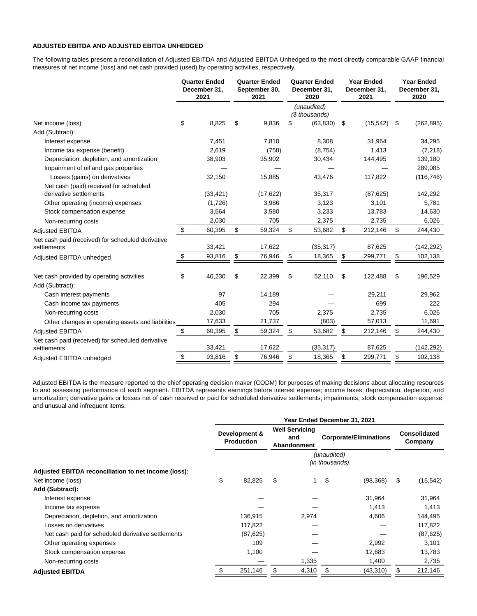### **ADJUSTED EBITDA AND ADJUSTED EBITDA UNHEDGED**

The following tables present a reconciliation of Adjusted EBITDA and Adjusted EBITDA Unhedged to the most directly comparable GAAP financial measures of net income (loss) and net cash provided (used) by operating activities, respectively.

| (unaudited)<br>(\$ thousands)                                                                                                       | (262, 895) |
|-------------------------------------------------------------------------------------------------------------------------------------|------------|
|                                                                                                                                     |            |
| \$<br>8,825<br>\$<br>9,836<br>(63, 830)<br>(15, 542)<br>Net income (loss)<br>S<br>\$<br>\$                                          |            |
| Add (Subtract):                                                                                                                     |            |
| 7,451<br>7,810<br>8,308<br>31,964<br>Interest expense                                                                               | 34,295     |
| 2,619<br>(758)<br>(8,754)<br>1,413<br>Income tax expense (benefit)                                                                  | (7, 218)   |
| Depreciation, depletion, and amortization<br>38,903<br>35,902<br>30,434<br>144,495                                                  | 139,180    |
| Impairment of oil and gas properties                                                                                                | 289,085    |
| Losses (gains) on derivatives<br>32,150<br>15,885<br>43,476<br>117,822                                                              | (116, 746) |
| Net cash (paid) received for scheduled                                                                                              |            |
| derivative settlements<br>(33, 421)<br>(17, 622)<br>35,317<br>(87, 625)                                                             | 142,292    |
| (1,726)<br>3,986<br>3,123<br>3,101<br>Other operating (income) expenses                                                             | 5,781      |
| Stock compensation expense<br>3,564<br>3,580<br>3,233<br>13,783                                                                     | 14,630     |
| 2,030<br>705<br>2,375<br>2,735<br>Non-recurring costs                                                                               | 6,026      |
| \$<br>\$<br>\$<br>60,395<br>59,324<br>53,682<br>\$<br>212,146<br>\$<br><b>Adjusted EBITDA</b>                                       | 244,430    |
| Net cash paid (received) for scheduled derivative<br>33,421<br>17,622<br>(35, 317)<br>87,625<br>settlements                         | (142,292)  |
| \$<br>\$<br>93,816<br>18,365<br>\$<br>\$<br>76,946<br>\$<br>299,771<br>Adjusted EBITDA unhedged                                     | 102,138    |
| \$<br>40,230<br>\$<br>22,399<br>\$<br>52,110<br>\$<br>\$<br>Net cash provided by operating activities<br>122,488<br>Add (Subtract): | 196,529    |
| 97<br>14,189<br>29,211<br>Cash interest payments                                                                                    | 29,962     |
| 405<br>294<br>699<br>Cash income tax payments                                                                                       | 222        |
| 2,030<br>705<br>Non-recurring costs<br>2,375<br>2,735                                                                               | 6,026      |
| (803)<br>17,633<br>21,737<br>57,013<br>Other changes in operating assets and liabilities                                            | 11,691     |
| \$<br>\$<br>\$<br>\$<br>60,395<br>59,324<br>53,682<br>212,146<br>\$<br><b>Adjusted EBITDA</b>                                       | 244,430    |
| Net cash paid (received) for scheduled derivative<br>33,421<br>17,622<br>(35, 317)<br>87,625<br>settlements                         | (142,292)  |
| \$<br>\$<br>93,816<br>\$<br>76,946<br>\$<br>\$<br>18,365<br>299,771<br>Adjusted EBITDA unhedged                                     | 102,138    |

Adjusted EBITDA is the measure reported to the chief operating decision maker (CODM) for purposes of making decisions about allocating resources to and assessing performance of each segment. EBITDA represents earnings before interest expense; income taxes; depreciation, depletion, and amortization; derivative gains or losses net of cash received or paid for scheduled derivative settlements; impairments; stock compensation expense; and unusual and infrequent items.

|                                                      | Year Ended December 31, 2021       |           |                                                    |       |                               |           |                         |           |
|------------------------------------------------------|------------------------------------|-----------|----------------------------------------------------|-------|-------------------------------|-----------|-------------------------|-----------|
|                                                      | Development &<br><b>Production</b> |           | <b>Well Servicing</b><br>and<br><b>Abandonment</b> |       | <b>Corporate/Eliminations</b> |           | Consolidated<br>Company |           |
|                                                      |                                    |           |                                                    |       | (unaudited)<br>(in thousands) |           |                         |           |
| Adjusted EBITDA reconciliation to net income (loss): |                                    |           |                                                    |       |                               |           |                         |           |
| Net income (loss)                                    | \$                                 | 82,825    | \$                                                 |       | \$                            | (98, 368) | \$                      | (15, 542) |
| Add (Subtract):                                      |                                    |           |                                                    |       |                               |           |                         |           |
| Interest expense                                     |                                    |           |                                                    |       |                               | 31,964    |                         | 31,964    |
| Income tax expense                                   |                                    |           |                                                    |       |                               | 1,413     |                         | 1,413     |
| Depreciation, depletion, and amortization            |                                    | 136,915   |                                                    | 2,974 |                               | 4,606     |                         | 144,495   |
| Losses on derivatives                                |                                    | 117,822   |                                                    |       |                               |           |                         | 117,822   |
| Net cash paid for scheduled derivative settlements   |                                    | (87, 625) |                                                    |       |                               |           |                         | (87, 625) |
| Other operating expenses                             |                                    | 109       |                                                    |       |                               | 2,992     |                         | 3,101     |
| Stock compensation expense                           |                                    | 1,100     |                                                    |       |                               | 12,683    |                         | 13,783    |
| Non-recurring costs                                  |                                    |           |                                                    | 1,335 |                               | 1,400     |                         | 2,735     |
| <b>Adjusted EBITDA</b>                               |                                    | 251,146   | \$                                                 | 4,310 | \$                            | (43, 310) | S                       | 212,146   |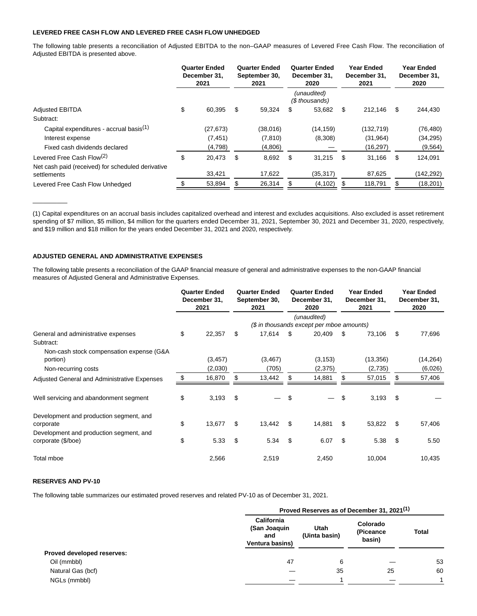### **LEVERED FREE CASH FLOW AND LEVERED FREE CASH FLOW UNHEDGED**

The following table presents a reconciliation of Adjusted EBITDA to the non–GAAP measures of Levered Free Cash Flow. The reconciliation of Adjusted EBITDA is presented above.

|                                                                  | <b>Quarter Ended</b><br>December 31,<br>2021 |           | <b>Quarter Ended</b><br>September 30,<br>2021 |          | <b>Quarter Ended</b><br>December 31,<br>2020 |                               | <b>Year Ended</b><br>December 31,<br>2021 |            | <b>Year Ended</b><br>December 31,<br>2020 |           |
|------------------------------------------------------------------|----------------------------------------------|-----------|-----------------------------------------------|----------|----------------------------------------------|-------------------------------|-------------------------------------------|------------|-------------------------------------------|-----------|
|                                                                  |                                              |           |                                               |          |                                              | (unaudited)<br>(\$ thousands) |                                           |            |                                           |           |
| <b>Adjusted EBITDA</b>                                           | \$                                           | 60.395    | S                                             | 59,324   | \$                                           | 53,682                        | S                                         | 212.146    | \$                                        | 244,430   |
| Subtract:                                                        |                                              |           |                                               |          |                                              |                               |                                           |            |                                           |           |
| Capital expenditures - accrual basis <sup>(1)</sup>              |                                              | (27, 673) |                                               | (38,016) |                                              | (14, 159)                     |                                           | (132, 719) |                                           | (76, 480) |
| Interest expense                                                 |                                              | (7, 451)  |                                               | (7, 810) |                                              | (8,308)                       |                                           | (31, 964)  |                                           | (34, 295) |
| Fixed cash dividends declared                                    |                                              | (4,798)   |                                               | (4,806)  |                                              |                               |                                           | (16, 297)  |                                           | (9, 564)  |
| Levered Free Cash Flow <sup>(2)</sup>                            | \$                                           | 20,473    | \$.                                           | 8,692    | \$.                                          | 31,215                        | \$                                        | 31,166     | - \$                                      | 124,091   |
| Net cash paid (received) for scheduled derivative<br>settlements |                                              | 33,421    |                                               | 17,622   |                                              | (35, 317)                     |                                           | 87,625     |                                           | (142,292) |
| Levered Free Cash Flow Unhedged                                  |                                              | 53,894    |                                               | 26,314   |                                              | (4, 102)                      |                                           | 118,791    |                                           | (18, 201) |

(1) Capital expenditures on an accrual basis includes capitalized overhead and interest and excludes acquisitions. Also excluded is asset retirement spending of \$7 million, \$5 million, \$4 million for the quarters ended December 31, 2021, September 30, 2021 and December 31, 2020, respectively, and \$19 million and \$18 million for the years ended December 31, 2021 and 2020, respectively.

# **ADJUSTED GENERAL AND ADMINISTRATIVE EXPENSES**

The following table presents a reconciliation of the GAAP financial measure of general and administrative expenses to the non-GAAP financial measures of Adjusted General and Administrative Expenses.

|                                                               | <b>Quarter Ended</b><br>December 31,<br>2021 | <b>Quarter Ended</b><br>September 30,<br>2021 |     | <b>Quarter Ended</b><br>December 31,<br>2020             | <b>Year Ended</b><br>December 31,<br>2021 |     | <b>Year Ended</b><br>December 31,<br>2020 |
|---------------------------------------------------------------|----------------------------------------------|-----------------------------------------------|-----|----------------------------------------------------------|-------------------------------------------|-----|-------------------------------------------|
|                                                               |                                              |                                               |     | (unaudited)<br>(\$ in thousands except per mboe amounts) |                                           |     |                                           |
| General and administrative expenses                           | \$<br>22,357                                 | \$<br>17,614                                  | -\$ | 20,409                                                   | \$<br>73,106                              | \$  | 77,696                                    |
| Subtract:                                                     |                                              |                                               |     |                                                          |                                           |     |                                           |
| Non-cash stock compensation expense (G&A<br>portion)          | (3, 457)                                     | (3, 467)                                      |     | (3, 153)                                                 | (13, 356)                                 |     | (14, 264)                                 |
| Non-recurring costs                                           | (2,030)                                      | (705)                                         |     | (2,375)                                                  | (2,735)                                   |     | (6,026)                                   |
| Adjusted General and Administrative Expenses                  | 16,870                                       | 13,442                                        |     | 14,881                                                   | 57,015                                    |     | 57,406                                    |
| Well servicing and abandonment segment                        | \$<br>3,193                                  | \$                                            | \$  |                                                          | \$<br>3,193                               | -\$ |                                           |
| Development and production segment, and<br>corporate          | \$<br>13,677                                 | \$<br>13,442                                  | \$  | 14,881                                                   | \$<br>53,822                              | -\$ | 57,406                                    |
| Development and production segment, and<br>corporate (\$/boe) | \$<br>5.33                                   | \$<br>5.34                                    | \$  | 6.07                                                     | \$<br>5.38                                | \$  | 5.50                                      |
| Total mboe                                                    | 2,566                                        | 2,519                                         |     | 2,450                                                    | 10,004                                    |     | 10,435                                    |

### **RESERVES AND PV-10**

 $\overline{\phantom{a}}$ 

The following table summarizes our estimated proved reserves and related PV-10 as of December 31, 2021.

|                                   | Proved Reserves as of December 31, 2021 <sup>(1)</sup>      |                       |                                 |              |  |  |  |
|-----------------------------------|-------------------------------------------------------------|-----------------------|---------------------------------|--------------|--|--|--|
|                                   | <b>California</b><br>(San Joaquin<br>and<br>Ventura basins) | Utah<br>(Uinta basin) | Colorado<br>(Piceance<br>basin) | <b>Total</b> |  |  |  |
| <b>Proved developed reserves:</b> |                                                             |                       |                                 |              |  |  |  |
| Oil (mmbbl)                       | 47                                                          | 6                     |                                 | 53           |  |  |  |
| Natural Gas (bcf)                 |                                                             | 35                    | 25                              | 60           |  |  |  |
| NGLs (mmbbl)                      |                                                             |                       |                                 |              |  |  |  |